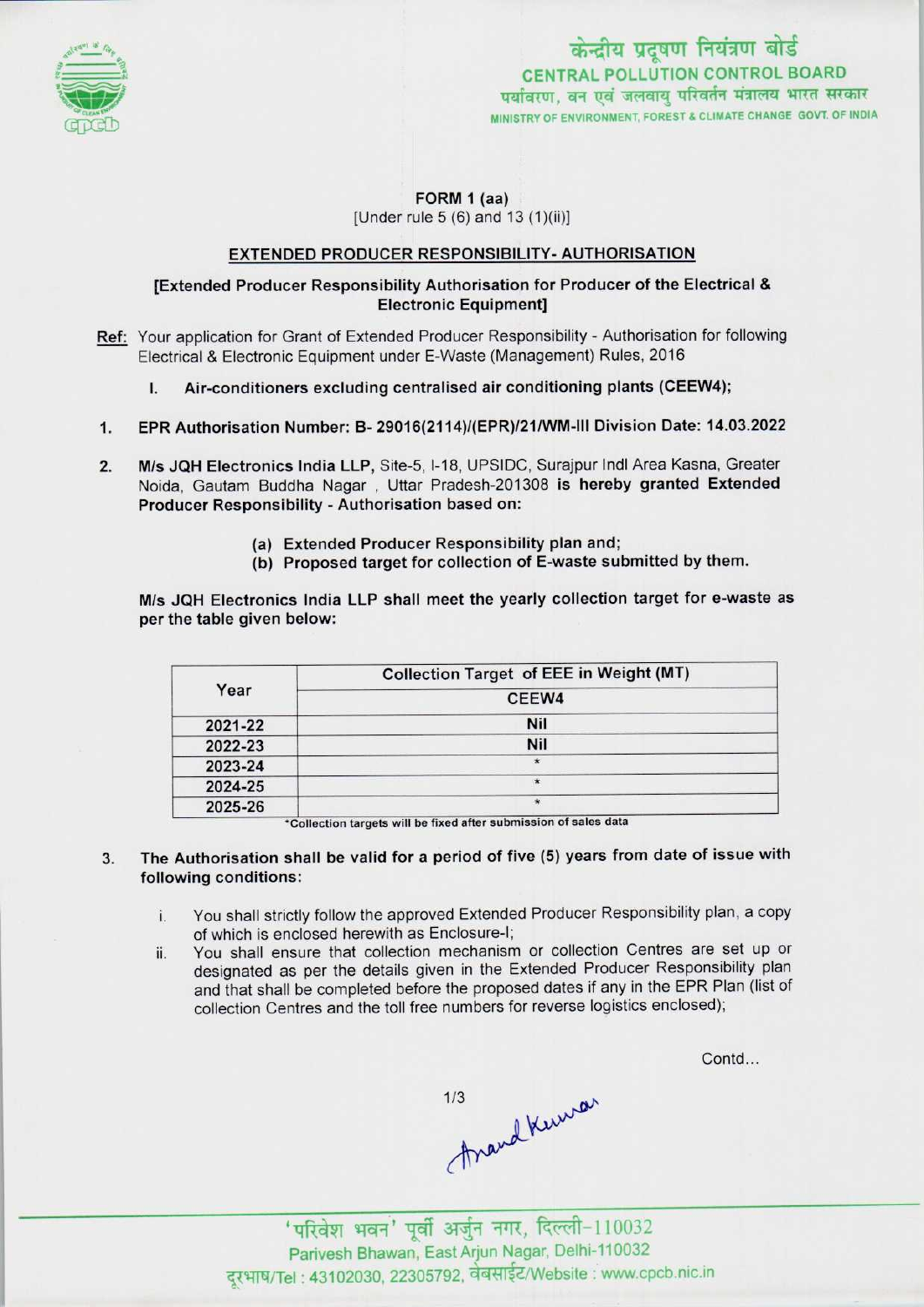

## FORM 1 (aa) [Under rule 5 (6) and 13 (1)(ii)]

## EXTENDED PRODUCER RESPONSIBILITY- AUTHORISATION

## [Extended Producer Responsibility Authorisation for Producer of the Electrical & Electronic Equipment]

- Ref: Your application for Grant of Extended Producer Responsibility Authorisation for following Electrical & Electronic Equipment under E-Waste (Management) Rules, 2016
	- I. Air-conditioners excluding centralised air conditioning plants (CEEW4);
- 1.EPR Authorisation Number: B- 29016(2114)/(EPR)/21/WM-lll Division Date: 14.03.2022
- 2. M/s JQH Electronics India LLP, Site-5, I-18, UPSIDC, Surajpur Indl Area Kasna, Greater Noida, Gautam Buddha Nagar , Uttar Pradesh-201308 is hereby granted Extended Producer Responsibility - Authorisation based on:
	- (a)Extended Producer Responsibility plan and;
	- (b) Proposed target for collection of E-waste submitted by them.

M/s JQH Electronics India LLP shall meet the yearly collection target for e-waste as per the table given below:

| Year    | Collection Target of EEE in Weight (MT) |
|---------|-----------------------------------------|
|         | CEEW4                                   |
| 2021-22 | <b>Nil</b>                              |
| 2022-23 | Nil                                     |
| 2023-24 | 米                                       |
| 2024-25 | $\star$                                 |
| 2025-26 | $\star$                                 |

\*Collection targets will be fixed after submission of sales data

- The Authorisation shall be valid for a period of five (5) years from date of issue with 3. following conditions:
	- i. You shall strictly follow the approved Extended Producer Responsibility plan, <sup>a</sup> copy of which is enclosed herewith as Enclosure-I;
	- ii. You shall ensure that collection mechanism or collection Centres are set up or designated as per the details given in the Extended Producer Responsibility plan and that shall be completed before the proposed dates if any in the EPR Plan (list of collection Centres and the toll free numbers for reverse logistics enclosed);

Contd...

mand Kuwan<br>
mand Kuwan<br>
'परिवेश भवन' पूर्वी अर्जुन नगर, दिल्ली-110032

Parivesh Bhawan, East Arjun Nagar, Delhi-110032 दूरभाष/Tel: 43102030, 22305792, वेबसाईट/Website : www.cpcb.nic.in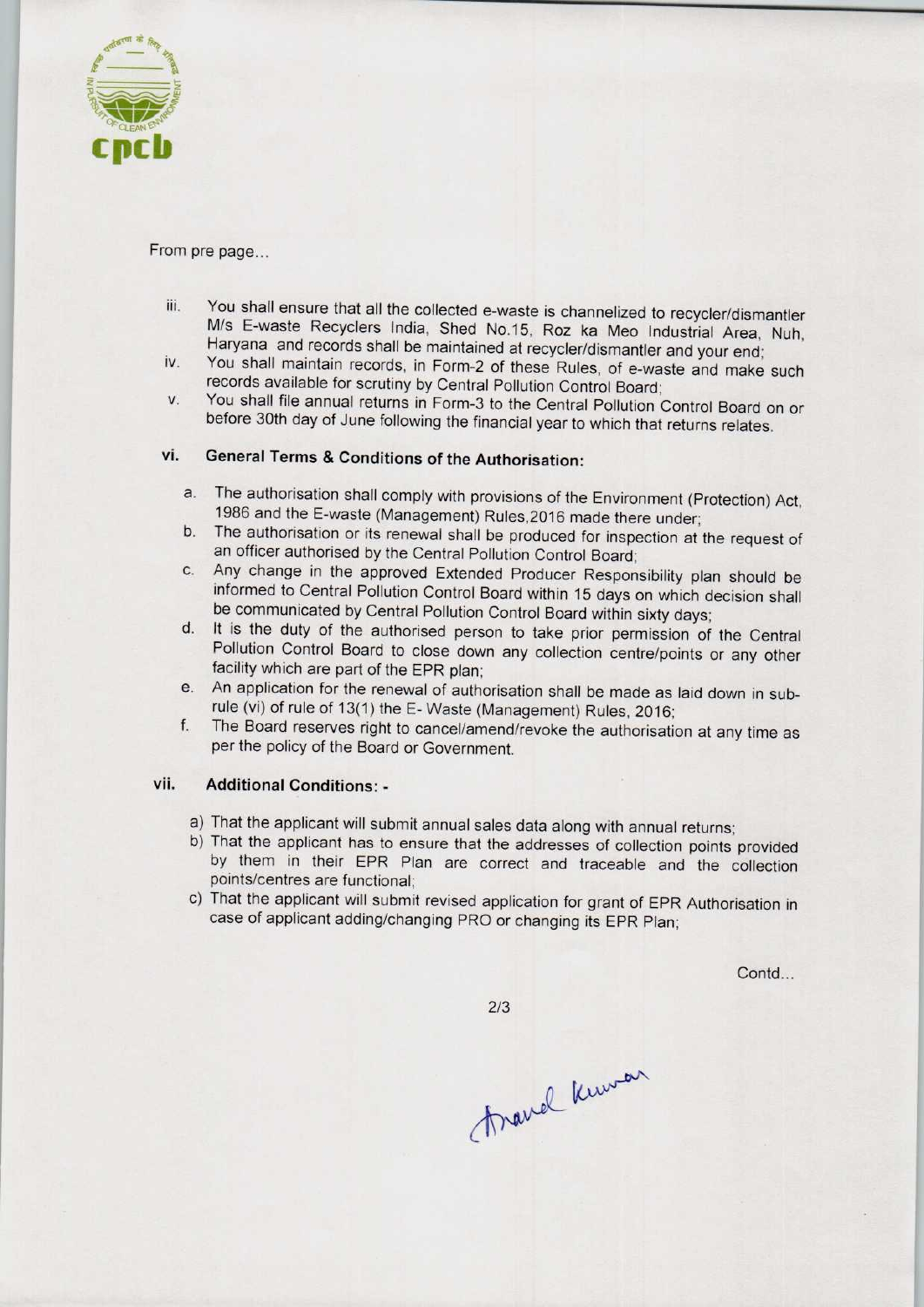

From pre page...

- iii. You shall ensure that all the collected e-waste is channelized to recycler/dismantler M/s E-waste Recyclers India, Shed No.15, Roz ka Meo Industrial Area, Nuh, Haryana and records shall be maintained at recycler/dismantler and your end;
- iv. You shall maintain records, in Form-2 of these Rules, of e-waste and make such records available for scrutiny by Central Pollution Control Board;
- v. You shall file annual returns in Form-3 to the Central Pollution Control Board on or before 30th day of June following the financial year to which that returns relates.

# vi. General Terms & Conditions of the Authorisation:

- a.The authorisation shall comply with provisions of the Environment (Protection) Act, 1986 and the E-waste (Management) Rules,2016 made there under;
- b. The authorisation or its renewal shall be produced for inspection at the request of an officer authorised by the Central Pollution Control Board;
- c.Any change in the approved Extended Producer Responsibility plan should be informed to Central Pollution Control Board within 15 days on which decision shall be communicated by Central Pollution Control Board within sixty days;
- d. It is the duty of the authorised person to take prior permission of the Central Pollution Control Board to close down any collection centre/points or any other facility which are part of the EPR plan;
- e. An application for the renewal of authorisation shall be made as laid down in subrule (vi) of rule of 13(1) the E-Waste (Management) Rules, 2016;
- f. The Board reserves right to cancel/amend/revoke the authorisation at any time as perthe policy of the Board or Government.

## vii. Additional Conditions: -

- a)That the applicant will submit annual sales data along with annual returns;
- b) That the applicant has to ensure that the addresses of collection points provided by them in their EPR Plan are correct and traceable and the collection points/centres are functional;
- c) That the applicant will submit revised application for grant of EPR Authorisation in case of applicant adding/changing PRO or changing its EPR Plan;

Contd...

 $2/3$ 

France Known